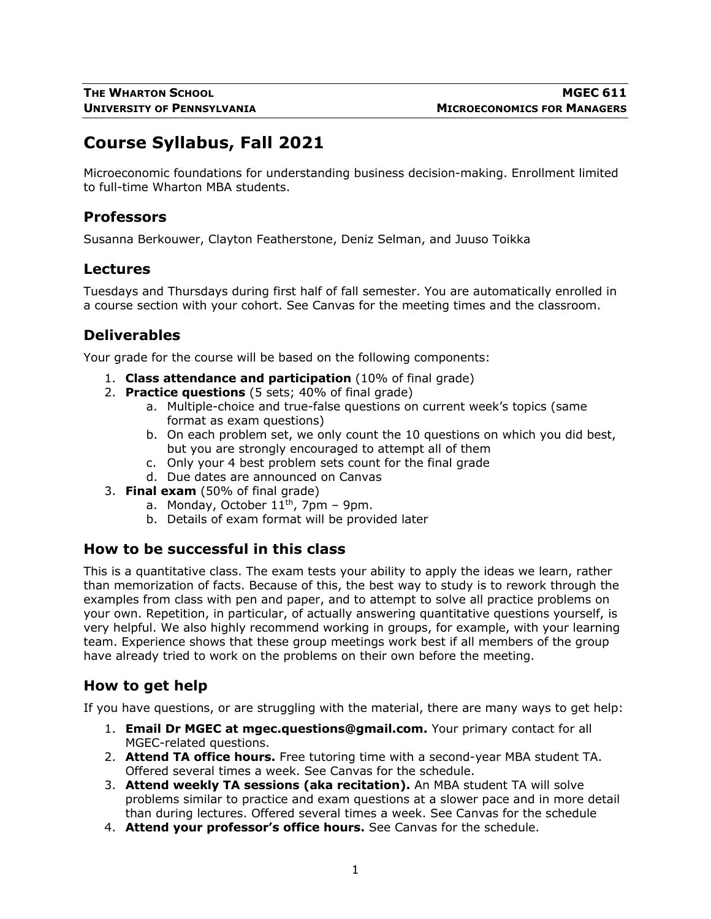# **Course Syllabus, Fall 2021**

Microeconomic foundations for understanding business decision-making. Enrollment limited to full-time Wharton MBA students.

### **Professors**

Susanna Berkouwer, Clayton Featherstone, Deniz Selman, and Juuso Toikka

#### **Lectures**

Tuesdays and Thursdays during first half of fall semester. You are automatically enrolled in a course section with your cohort. See Canvas for the meeting times and the classroom.

# **Deliverables**

Your grade for the course will be based on the following components:

- 1. **Class attendance and participation** (10% of final grade)
- 2. **Practice questions** (5 sets; 40% of final grade)
	- a. Multiple-choice and true-false questions on current week's topics (same format as exam questions)
	- b. On each problem set, we only count the 10 questions on which you did best, but you are strongly encouraged to attempt all of them
	- c. Only your 4 best problem sets count for the final grade
	- d. Due dates are announced on Canvas
- 3. **Final exam** (50% of final grade)
	- a. Monday, October  $11<sup>th</sup>$ , 7pm 9pm.
	- b. Details of exam format will be provided later

### **How to be successful in this class**

This is a quantitative class. The exam tests your ability to apply the ideas we learn, rather than memorization of facts. Because of this, the best way to study is to rework through the examples from class with pen and paper, and to attempt to solve all practice problems on your own. Repetition, in particular, of actually answering quantitative questions yourself, is very helpful. We also highly recommend working in groups, for example, with your learning team. Experience shows that these group meetings work best if all members of the group have already tried to work on the problems on their own before the meeting.

### **How to get help**

If you have questions, or are struggling with the material, there are many ways to get help:

- 1. **Email Dr MGEC at mgec.questions@gmail.com.** Your primary contact for all MGEC-related questions.
- 2. **Attend TA office hours.** Free tutoring time with a second-year MBA student TA. Offered several times a week. See Canvas for the schedule.
- 3. **Attend weekly TA sessions (aka recitation).** An MBA student TA will solve problems similar to practice and exam questions at a slower pace and in more detail than during lectures. Offered several times a week. See Canvas for the schedule
- 4. **Attend your professor's office hours.** See Canvas for the schedule.